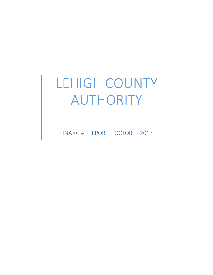# LEHIGH COUNTY AUTHORITY

FINANCIAL REPORT – OCTOBER 2017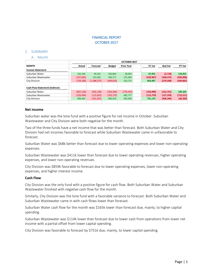# FINANCIAL REPORT OCTOBER 2017

## 1. SUMMARY

## A. Month

|                                       |            | OCTOBER 2017 |               |                   |  |            |                |            |  |  |  |  |
|---------------------------------------|------------|--------------|---------------|-------------------|--|------------|----------------|------------|--|--|--|--|
| <b>MONTH</b>                          | Actual     | Forecast     | <b>Budget</b> | <b>Prior Year</b> |  | FC Var     | <b>Bud Var</b> | PY Var     |  |  |  |  |
| <b>Income Statement</b>               |            |              |               |                   |  |            |                |            |  |  |  |  |
| Suburban Water                        | 162,146    | 94,191       | 164,864       | 28,092            |  | 67,955     | (2,718)        | 134,053    |  |  |  |  |
| Suburban Wastewater                   | (257, 602) | 153,365      | 190,771       | 372,404           |  | (410, 967) | (448, 373)     | (630,006)  |  |  |  |  |
| <b>City Division</b>                  | (729, 168) | (1,588,575)  | (449, 810)    | 210,713           |  | 859,407    | (279, 358)     | (939, 881) |  |  |  |  |
|                                       |            |              |               |                   |  |            |                |            |  |  |  |  |
| <b>Cash Flow Statement (Indirect)</b> |            |              |               |                   |  |            |                |            |  |  |  |  |
| Suburban Water                        | (667, 120) | (502, 130)   | (354, 369)    | (776, 441)        |  | (164,990)  | (312, 751)     | 109,320    |  |  |  |  |
| Suburban Wastewater                   | (229, 434) | (115, 655)   | (102, 175)    | 482,777           |  | (113, 779) | (127, 259)     | (712, 211) |  |  |  |  |
| <b>City Division</b>                  | 499,669    | (251, 501)   | 906,018       | 565,930           |  | 751,170    | (406, 349)     | (66, 260)  |  |  |  |  |
|                                       |            |              |               |                   |  |            |                |            |  |  |  |  |

#### **Net income**

Suburban water was the lone fund with a positive figure for net income in October. Suburban Wastewater and City Division were both negative for the month.

Two of the three funds have a net income that was better than forecast. Both Suburban Water and City Division had net incomes favorable to forecast while Suburban Wastewater came in unfavorable to forecast.

Suburban Water was \$68k better than forecast due to lower operating expenses and lower non-operating expenses.

Suburban Wastewater was \$411k lower than forecast due to lower operating revenues, higher operating expenses, and lower non-operating revenues.

City Division was \$859k favorable to forecast due to lower operating expenses, lower non-operating expenses, and higher interest income.

#### **Cash Flow**

City Division was the only fund with a positive figure for cash flow. Both Suburban Water and Suburban Wastewater finished with negative cash flow for the month.

Similarly, City Division was the lone fund with a favorable variance to forecast. Both Suburban Water and Suburban Wastewater came in with cash flows lower than forecast.

Suburban Water cash flow for the month was \$165k lower than forecast due, mainly, to higher capital spending.

Suburban Wastewater was \$114k lower than forecast due to lower cash from operations from lower net income with a partial offset from lower capital spending.

City Division was favorable to forecast by \$751k due, mainly, to lower capital spending.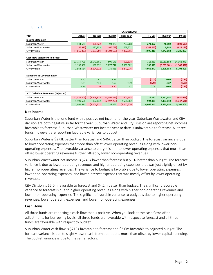#### B. YTD

|                                           | OCTOBER 2017 |               |               |                   |            |                |             |  |  |  |
|-------------------------------------------|--------------|---------------|---------------|-------------------|------------|----------------|-------------|--|--|--|
| <b>YTD</b>                                | Actual       | Forecast      | <b>Budget</b> | <b>Prior Year</b> | FC Var     | <b>Bud Var</b> | PY Var      |  |  |  |
| <b>Income Statement</b>                   |              |               |               |                   |            |                |             |  |  |  |
| Suburban Water                            | 144,575      | (128, 522)    | 98,473        | 753,208           | 273,097    | 46,102         | (608, 633)  |  |  |  |
| Suburban Wastewater                       | (57, 915)    | 187,833       | (67, 798)     | 769,271           | (245, 747) | 9,883          | (827, 186)  |  |  |  |
| City Division                             | (4,066,893)  | (9,063,204)   | (8,309,553)   | (7, 352, 695)     | 4,996,311  | 4,242,660      | 3,285,802   |  |  |  |
|                                           |              |               |               |                   |            |                |             |  |  |  |
| <b>Cash Flow Statement (Indirect)</b>     |              |               |               |                   |            |                |             |  |  |  |
| Suburban Water                            | 13,759,701   | 13,043,681    | 806,143       | (601, 638)        | 716,020    | 12,953,558     | 14,361,340  |  |  |  |
| Suburban Wastewater                       | 1,190,561    | 197,632       | 7,877,742     | 2,538,082         | 992,929    | (6,687,181)    | (1,347,521) |  |  |  |
| City Division                             | 2,962,524    | (1, 104, 322) | 736,866       | (2, 240, 276)     | 4,066,847  | 2,225,658      | 5,202,801   |  |  |  |
|                                           |              |               |               |                   |            |                |             |  |  |  |
| Debt Service Coverage Ratio               |              |               |               |                   |            |                |             |  |  |  |
| Suburban Water                            | 1.40         | 1.41          | 1.31          | 1.77              | (0.01)     | 0.09           | (0.37)      |  |  |  |
| Suburban Wastewater                       | 6.89         | 7.34          | 2.52          | 7.79              | (0.45)     | 4.37           | (0.90)      |  |  |  |
| City Division                             | 1.25         | 1.20          | 1.20          | 1.57              | 0.05       | 0.05           | (0.32)      |  |  |  |
|                                           |              |               |               |                   |            |                |             |  |  |  |
| <b>YTD Cash Flow Statement (Adjusted)</b> |              |               |               |                   |            |                |             |  |  |  |
| Suburban Water                            | (1,532,305)  | (2, 248, 325) | (5,093,857)   | (601, 638)        | 716,020    | 3,561,552      | (930, 666)  |  |  |  |
| Suburban Wastewater                       | 1,190,561    | 197,632       | (2,997,258)   | 2,538,082         | 992,929    | 4,187,819      | (1,347,521) |  |  |  |
| <b>City Division</b>                      | 2,962,524    | (1, 104, 322) | 736,866       | (2, 240, 276)     | 4,066,847  | 2,225,658      | 5,202,801   |  |  |  |

## **Net income**

Suburban Water is the lone fund with a positive net income for the year. Suburban Wastewater and City division are both negative so far for the year. Suburban Water and City Division are reporting net incomes favorable to forecast. Suburban Wastewater net income year to date is unfavorable to forecast. All three funds, however, are reporting favorable variances to budget.

Suburban Water is \$273k better than forecast and \$46k better than budget. The forecast variance is due to lower operating expenses that more than offset lower operating revenues along with lower nonoperating expenses. The favorable variance to budget is due to lower operating expenses that more than offset lower operating revenues further offset by lower non-operating revenues.

Suburban Wastewater net income is \$246k lower than forecast but \$10k better than budget. The forecast variance is due to lower operating revenues and higher operating expenses that was just slightly offset by higher non-operating revenues. The variance to budget is favorable due to lower operating expenses, lower non-operating expenses, and lower interest expense that was mostly offset by lower operating revenues.

City Division is \$5.0m favorable to forecast and \$4.2m better than budget. The significant favorable variance to forecast is due to higher operating revenues along with higher non-operating revenues and lower non-operating expenses. The significant favorable variance to budget is due to higher operating revenues, lower operating expenses, and lower non-operating expenses.

#### **Cash Flows**

All three funds are reporting a cash flow that is positive. When you look at the cash flows after adjustments for borrowing levels, all three funds are favorable with respect to forecast and all three funds are favorable with respect to budget.

Suburban Water cash flow is \$716k favorable to forecast and \$3.6m favorable to adjusted budget. The forecast variance is due to slightly lower cash from operations more than offset by lower capital spending. The budget variance is due to the same factors.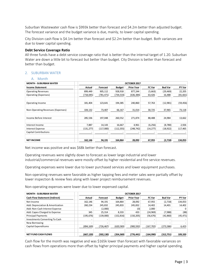Suburban Wastewater cash flow is \$993k better than forecast and \$4.2m better than adjusted budget. The forecast variance and the budget variance is due, mainly, to lower capital spending.

City Division cash flow is \$4.1m better than forecast and \$2.2m better than budget. Both variances are due to lower capital spending.

#### **Debt Service Coverage Ratio**

All three funds have a debt service coverage ratio that is better than the internal target of 1.20. Suburban Water are down a little bit to forecast but better than budget. City Division is better than forecast and better than budget.

## 2. SUBURBAN WATER

## A. Month

| <b>MONTH - SUBURBAN WATER</b>     | OCTOBER 2017 |            |               |                   |           |                |           |  |  |
|-----------------------------------|--------------|------------|---------------|-------------------|-----------|----------------|-----------|--|--|
| <b>Income Statement</b>           | Actual       | Forecast   | <b>Budget</b> | <b>Prior Year</b> | FC Var    | <b>Bud Var</b> | PY Var    |  |  |
| <b>Operating Revenues</b>         | 899,449      | 905,112    | 928,918       | 877,244           | (5,663)   | (29,469)       | 22,205    |  |  |
| Operating (Expenses)              | (718, 045)   | (781, 471) | (734,533)     | (636, 384)        | 63,426    | 16,488         | (81, 661) |  |  |
|                                   |              |            |               |                   |           |                |           |  |  |
| Operating Income                  | 181,404      | 123,641    | 194,385       | 240,860           | 57,763    | (12,981)       | (59, 456) |  |  |
|                                   |              |            |               |                   |           |                |           |  |  |
| Non-Operating Revenues (Expenses) | 104,132      | 73,407     | 66,167        | 31,014            | 30,725    | 37,965         | 73,118    |  |  |
|                                   |              |            |               |                   |           |                |           |  |  |
| Income Before Interest            | 285,536      | 197,048    | 260,552       | 271,874           | 88,488    | 24,984         | 13,662    |  |  |
|                                   |              |            |               |                   |           |                |           |  |  |
| Interest Income                   | 7,887        | 14,143     | 16,667        | 4,961             | (6, 256)  | (8,780)        | 2,926     |  |  |
| <b>Interest Expense</b>           | (131, 277)   | (117,000)  | (112, 355)    | (248,742)         | (14, 277) | (18, 922)      | 117,465   |  |  |
| <b>Capital Contributions</b>      |              |            |               |                   |           |                |           |  |  |
|                                   |              |            |               |                   |           |                |           |  |  |
| <b>NET INCOME</b>                 | 162,146      | 94,191     | 164,864       | 28,092            | 67,955    | (2,718)        | 134,053   |  |  |

Net income was positive and was \$68k better than forecast.

Operating revenues were slightly down to forecast as lower large industrial and lower industrial/commercial revenues were mostly offset by higher residential and fire service revenues.

Operating expenses were lower due to lower purchased services and lower equipment purchases.

Non-operating revenues were favorable as higher tapping fees and meter sales were partially offset by lower inspection & review fees along with lower project reimbursement revenues.

Non-operating expenses were lower due to lower expensed capital.

| <b>MONTH - SUBURBAN WATER</b>         |            | OCTOBER 2017 |               |                   |            |                |           |  |  |  |  |
|---------------------------------------|------------|--------------|---------------|-------------------|------------|----------------|-----------|--|--|--|--|
| <b>Cash Flow Statement (Indirect)</b> | Actual     | Forecast     | <b>Budget</b> | <b>Prior Year</b> | FC Var     | <b>Bud Var</b> | PY Var    |  |  |  |  |
| Net Income                            | 162,146    | 94,191       | 164.864       | 28.092            | 67,955     | (2,718)        | 134,053   |  |  |  |  |
| Add: Depreciation & Amortization      | 260,234    | 245,832      | 245,833       | 245,832           | 14,402     | 14,401         | 14,402    |  |  |  |  |
| Add: Non-Cash Interest Expense        |            | (2,000)      |               | (0)               | 2,000      |                | 0         |  |  |  |  |
| Add: Capex Charged to Expense         | 345        | 25.314       | 8.333         | 433               | (24, 969)  | (7,988)        | (88)      |  |  |  |  |
| <b>Principal Payments</b>             | (195, 676) | (139,000)    | (152, 816)    | (150, 205)        | (56, 676)  | (42, 860)      | (45, 471) |  |  |  |  |
| Investments Converting To Cash        |            |              |               |                   |            |                |           |  |  |  |  |
| New Borrowing                         |            |              |               |                   |            |                |           |  |  |  |  |
| Capital Expenditures                  | (894, 169) | (726,467)    | (620, 583)    | (900, 592)        | (167, 702) | (273, 586)     | 6,423     |  |  |  |  |
|                                       |            |              |               |                   |            |                |           |  |  |  |  |
| <b>NET FUND CASH FLOWS</b>            | (667, 120) | (502,130)    | (354, 369)    | (776, 441)        | (164,990)  | (312, 751)     | 109,320   |  |  |  |  |

Cash flow for the month was negative and was \$165k lower than forecast with favorable variances on cash flows from operations more than offset by higher principal payments and higher capital spending.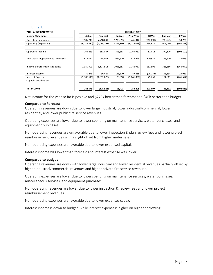#### B. YTD

| <b>YTD - SUBURBAN WATER</b>       | OCTOBER 2017 |             |             |                   |            |                |            |  |  |
|-----------------------------------|--------------|-------------|-------------|-------------------|------------|----------------|------------|--|--|
| <b>Income Statement</b>           | Actual       | Forecast    | Budget      | <b>Prior Year</b> | FC Var     | <b>Bud Var</b> | PY Var     |  |  |
| <b>Operating Revenues</b>         | 7,505,740    | 7,718,639   | 7,739,013   | 7,446,014         | (212, 899) | (233,273)      | 59,726     |  |  |
| Operating (Expenses)              | (6,739,881)  | (7,034,792) | (7,345,330) | (6, 176, 053)     | 294,911    | 605,449        | (563, 828) |  |  |
|                                   |              |             |             |                   |            |                |            |  |  |
| Operating Income                  | 765,859      | 683,847     | 393,683     | 1,269,961         | 82,012     | 372,176        | (504, 102) |  |  |
|                                   |              |             |             |                   |            |                |            |  |  |
| Non-Operating Revenues (Expenses) | 615,051      | 444,072     | 661,670     | 476,996           | 170,979    | (46, 619)      | 138,055    |  |  |
|                                   |              |             |             |                   |            |                |            |  |  |
| Income Before Interest Expense    | 1,380,909    | 1,127,918   | 1,055,353   | 1,746,957         | 252,991    | 325,556        | (366, 047) |  |  |
|                                   |              |             |             |                   |            |                |            |  |  |
| Interest Income                   | 71,276       | 96,429      | 166,670     | 47,288            | (25, 153)  | (95, 394)      | 23,989     |  |  |
| <b>Interest Expense</b>           | (1,307,611)  | (1,352,870) | (1,123,550) | (1,041,036)       | 45,259     | (184,061)      | (266, 574) |  |  |
| <b>Capital Contributions</b>      |              |             |             |                   |            |                |            |  |  |
|                                   |              |             |             |                   |            |                |            |  |  |
| <b>NET INCOME</b>                 | 144,575      | (128, 522)  | 98,473      | 753,208           | 273,097    | 46,102         | (608, 633) |  |  |

Net income for the year so far is positive and \$273k better than forecast and \$46k better than budget.

#### **Compared to Forecast**

Operating revenues are down due to lower large industrial, lower industrial/commercial, lower residential, and lower public fire service revenues.

Operating expenses are lower due to lower spending on maintenance services, water purchases, and equipment purchases.

Non-operating revenues are unfavorable due to lower inspection & plan review fees and lower project reimbursement revenues with a slight offset from higher meter sales.

Non-operating expenses are favorable due to lower expensed capital.

Interest income was lower than forecast and interest expense was lower.

#### **Compared to budget**

Operating revenues are down with lower large industrial and lower residential revenues partially offset by higher industrial/commercial revenues and higher private fire service revenues.

Operating expenses are lower due to lower spending on maintenance services, water purchases, miscellaneous services, and equipment purchases.

Non-operating revenues are lower due to lower inspection & review fees and lower project reimbursement revenues.

Non-operating expenses are favorable due to lower expenses capex.

Interest income is down to budget, while interest expense is higher on higher borrowing.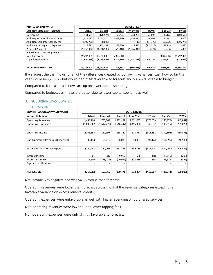| <b>YTD - SUBURBAN WATER</b>           | OCTOBER 2017 |             |               |                   |               |                |            |  |  |
|---------------------------------------|--------------|-------------|---------------|-------------------|---------------|----------------|------------|--|--|
| <b>Cash Flow Statement (Indirect)</b> | Actual       | Forecast    | <b>Budget</b> | <b>Prior Year</b> | <b>FC Var</b> | <b>Bud Var</b> | PY Var     |  |  |
| Net Income                            | 144,575      | (128, 522)  | 98,473        | 753,208           | 273,097       | 46,102         | (608, 633) |  |  |
| Add: Depreciation & Amortization      | 2,472,722    | 2,458,320   | 2,458,330     | 2,458,320         | 14,402        | 14,392         | 14,402     |  |  |
| Add: Non-Cash Interest Expense        | (105, 776)   | (8,000)     |               | (0)               | (97, 776)     | (105, 776)     | (105, 776) |  |  |
| Add: Capex Charged to Expense         | 5,611        | 253,137     | 83,330        | 3,532             | (247,526)     | (77, 719)      | 2,080      |  |  |
| <b>Principal Payments</b>             | (1,358,924)  | (1,358,596) | (1,528,160)   | (1,365,810)       | (329)         | 169,236        | 6,886      |  |  |
| Investments Converting To Cash        |              |             |               |                   |               |                |            |  |  |
| New Borrowing                         | 15,292,006   | 15,292,006  | 5,900,000     | ٠                 | -             | 9,392,006      | 15,292,006 |  |  |
| Capital Expenditures                  | (2,690,513)  | (3,464,664) | (6, 205, 830) | (2,450,888)       | 774,151       | 3,515,317      | (239, 625) |  |  |
| <b>NET FUND CASH FLOWS</b>            | 13,759,701   | 13,043,681  | 806,143       | (601, 638)        | 716,020       | 12,953,558     | 14,361,340 |  |  |

If we adjust the cash flows for all of the differences created by borrowing variances, cash flow so far this year would be -\$1,532k but would be \$716k favorable to forecast and \$3.6m favorable to budget.

Compared to forecast, cash flows are up on lower capital spending.

Compared to budget, cash flows are better due to lower capital spending as well.

## 3. SUBURBAN WASTEWATER

#### A. Month

| <b>MONTH - SUBURBAN WASTEWATER</b> | OCTOBER 2017 |             |               |                   |            |                |            |  |  |
|------------------------------------|--------------|-------------|---------------|-------------------|------------|----------------|------------|--|--|
| <b>Income Statement</b>            | Actual       | Forecast    | <b>Budget</b> | <b>Prior Year</b> | FC Var     | <b>Bud Var</b> | PY Var     |  |  |
| <b>Operating Revenues</b>          | 1,485,208    | 1,755,267   | 1,732,187     | 1,831,055         | (270,059)  | (246,979)      | (345,847)  |  |  |
| Operating (Expenses)               | (1,690,362)  | (1,642,270) | (1, 546, 447) | (1, 455, 338)     | (48,092)   | (143, 915)     | (235,025)  |  |  |
|                                    |              |             |               |                   |            |                |            |  |  |
| Operating Income                   | (205, 154)   | 112,997     | 185,740       | 375,717           | (318, 151) | (390, 894)     | (580,871)  |  |  |
|                                    |              |             |               |                   |            |                |            |  |  |
| Non-Operating Revenues (Expenses)  | (35, 113)    | 58,010      | 66,083        | 13,467            | (93,123)   | (101,196)      | (48,580)   |  |  |
|                                    |              |             |               |                   |            |                |            |  |  |
| Income Before Interest Expense     | (240,267)    | 171,007     | 251,823       | 389,184           | (411,274)  | (492,090)      | (629, 452) |  |  |
|                                    |              |             |               |                   |            |                |            |  |  |
| Interest Income                    | 301          | 389         | 9,917         | 506               | (88)       | (9,616)        | (205)      |  |  |
| Interest Expense                   | (17, 636)    | (18,031)    | (70, 969)     | (17, 286)         | 395        | 53,333         | (349)      |  |  |
| <b>Capital Contributions</b>       |              |             |               |                   |            |                |            |  |  |
|                                    |              |             |               |                   |            |                |            |  |  |
| <b>NET INCOME</b>                  | (257, 602)   | 153,365     | 190,771       | 372,404           | (410, 967) | (448, 373)     | (630,006)  |  |  |

Net income was negative and was \$411k worse than forecast.

Operating revenues were lower than forecast across most of the revenue categories except for a favorable variance on excess removal credits.

Operating expenses were unfavorable as well with higher spending on purchased services.

Non-operating revenues were lower due to lower tapping fees.

Non-operating expenses were only slightly favorable to forecast.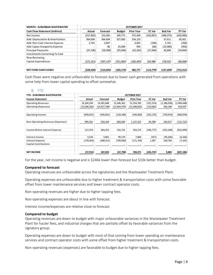| <b>MONTH - SUBURBAN WASTEWATER</b>    |            | OCTOBER 2017 |               |                   |               |                |           |  |  |
|---------------------------------------|------------|--------------|---------------|-------------------|---------------|----------------|-----------|--|--|
| <b>Cash Flow Statement (Indirect)</b> | Actual     | Forecast     | <b>Budget</b> | <b>Prior Year</b> | <b>FC Var</b> | <b>Bud Var</b> | PY Var    |  |  |
| Net Income                            | (257, 602) | 153,365      | 190,771       | 372.404           | (410, 967)    | (448, 373)     | (630,006) |  |  |
| Add: Depreciation & Amortization      | 364,694    | 364,694      | 327,083       | 334,133           |               | 37,611         | 30,561    |  |  |
| Add: Non-Cash Interest Expense        | 2,741      | 2,847        |               | 3,001             | (106)         | 2.741          | (260)     |  |  |
| Add: Capex Charged to Expense         |            | 86           | 25,000        | 993               | (86)          | (25,000)       | (993)     |  |  |
| <b>Principal Payments</b>             | (67, 106)  | (39,500)     | (93, 946)     | (42, 262)         | (27, 606)     | 26,840         | (24, 844) |  |  |
| <b>Investments Converting To Cash</b> |            |              |               |                   |               |                |           |  |  |
| New Borrowing                         |            |              |               |                   |               |                |           |  |  |
| Capital Expenditures                  | (272, 161) | (597, 147)   | (551,083)     | (185, 493)        | 324,986       | 278,922        | (86, 668) |  |  |
|                                       |            |              |               |                   |               |                |           |  |  |
| <b>NET FUND CASH FLOWS</b>            | (229,434)  | (115, 655)   | (102, 175)    | 482,777           | (113, 779)    | (127, 259)     | (712,211) |  |  |

Cash flows were negative and unfavorable to forecast due to lower cash generated from operations with some help from lower capital spending to offset somewhat.

#### B. YTD

| <b>YTD - SUBURBAN WASTEWATER</b>  |              | OCTOBER 2017   |                |                   |               |                |             |  |  |
|-----------------------------------|--------------|----------------|----------------|-------------------|---------------|----------------|-------------|--|--|
| <b>Income Statement</b>           | Actual       | Forecast       | <b>Budget</b>  | <b>Prior Year</b> | <b>FC Var</b> | <b>Bud Var</b> | PY Var      |  |  |
| <b>Operating Revenues</b>         | 14, 160, 334 | 14,381,848     | 15,346,362     | 15,254,783        | (221, 514)    | (1, 186, 028)  | (1,094,448) |  |  |
| Operating (Expenses)              | (15,038,362) | (14, 927, 700) | (15, 464, 470) | (15,448,832)      | (110, 662)    | 426,108        | 410,470     |  |  |
|                                   |              |                |                |                   |               |                |             |  |  |
| Operating Income                  | (878, 027)   | (545, 851)     | (118, 108)     | (194,050)         | (332, 176)    | (759, 919)     | (683, 978)  |  |  |
|                                   |              |                |                |                   |               |                |             |  |  |
| Non-Operating Revenues (Expenses) | 995,501      | 910,104        | 660,830        | 1,127,223         | 85,398        | 334,671        | (131, 722)  |  |  |
|                                   |              |                |                |                   |               |                |             |  |  |
| Income Before Interest Expense    | 117,474      | 364,253        | 542,722        | 933,174           | (246, 777)    | (425, 248)     | (815, 699)  |  |  |
|                                   |              |                |                |                   |               |                |             |  |  |
| Interest Income                   | 3,534        | 3,891          | 99,170         | 7,860             | (357)         | (95, 636)      | (4, 326)    |  |  |
| Interest Expense                  | (178, 924)   | (180, 311)     | (709,690)      | (171, 763)        | 1,387         | 530,766        | (7, 161)    |  |  |
| <b>Capital Contributions</b>      |              |                |                |                   |               |                |             |  |  |
|                                   |              |                |                |                   |               |                |             |  |  |
| <b>NET INCOME</b>                 | (57,915)     | 187,833        | (67, 798)      | 769,271           | (245, 747)    | 9,883          | (827, 186)  |  |  |

For the year, net income is negative and is \$246k lower than forecast but \$10k better than budget.

#### **Compared to forecast**

Operating revenues are unfavorable across the signatories and the Wastewater Treatment Plant.

Operating expenses are unfavorable due to higher treatment & transportation costs with some favorable offset from lower maintenance services and lower contract operator costs.

Non-operating revenues are higher due to higher tapping fees.

Non-operating expenses are about in line with forecast.

Interest income/expenses are relative close to forecast.

#### **Compared to budget**

Operating revenues are down to budget with major unfavorable variances in the Wastewater Treatment Plant for hauler fees, and industrial charges that are partially offset by favorable variances from the signatory group.

Operating expenses are down to budget with most of that coming from lower spending on maintenance services and contract operator costs with some offset from higher treatment & transportation costs.

Non-operating revenues (expenses) are favorable to budget due to higher tapping fees.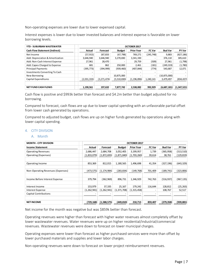Non-operating expenses are lower due to lower expensed capital.

Interest expenses is lower due to lower invested balances and interest expense is favorable on lower borrowing levels.

| <b>YTD - SUBURBAN WASTEWATER</b>      |             | OCTOBER 2017             |               |                   |                          |                |             |  |  |  |
|---------------------------------------|-------------|--------------------------|---------------|-------------------|--------------------------|----------------|-------------|--|--|--|
| <b>Cash Flow Statement (Indirect)</b> | Actual      | Forecast                 | <b>Budget</b> | <b>Prior Year</b> | <b>FC Var</b>            | <b>Bud Var</b> | PY Var      |  |  |  |
| Net Income                            | (57, 915)   | 187,833                  | (67, 798)     | 769,271           | (245, 748)               | 9,883          | (827, 186)  |  |  |  |
| Add: Depreciation & Amortization      | 3,646,940   | 3,646,940                | 3,270,830     | 3,341,330         |                          | 376,110        | 305,610     |  |  |  |
| Add: Non-Cash Interest Expense        | 27,961      | 28,470                   |               | 29,759            | (509)                    | 27,961         | (1,798)     |  |  |  |
| Add: Capex Charged to Expense         | 681         | 862                      | 250,000       | 2,461             | (181)                    | (249, 319)     | (1,780)     |  |  |  |
| <b>Principal Payments</b>             | (395,773)   | (394, 999)               | (939, 460)    | (407,844)         | (774)                    | 543,687        | 12,071      |  |  |  |
| <b>Investments Converting To Cash</b> |             | -                        |               |                   |                          |                |             |  |  |  |
| New Borrowing                         |             | $\overline{\phantom{0}}$ | 10,875,000    |                   | $\overline{\phantom{a}}$ | (10, 875, 000) |             |  |  |  |
| Capital Expenditures                  | (2,031,333) | (3,271,474)              | (5,510,830)   | (1, 196, 896)     | 1,240,141                | 3,479,497      | (834, 437)  |  |  |  |
|                                       |             |                          |               |                   |                          |                |             |  |  |  |
| <b>NET FUND CASH FLOWS</b>            | 1,190,561   | 197,632                  | 7,877,742     | 2,538,082         | 992,929                  | (6,687,181)    | (1,347,521) |  |  |  |

Cash flow is positive and \$993k better than forecast and \$4.2m better than budget adjusted for no borrowing.

Compared to forecast, cash flows are up due to lower capital spending with an unfavorable partial offset from lower cash generated by operations.

Compared to adjusted budget, cash flows are up on higher funds generated by operations along with lower capital spending.

## 4. CITY DIVISION

#### A. Month

| <b>MONTH - CITY DIVISION</b>      |             |               |               | OCTOBER 2017      |         |                |               |
|-----------------------------------|-------------|---------------|---------------|-------------------|---------|----------------|---------------|
| <b>Income Statement</b>           | Actual      | Forecast      | <b>Budget</b> | <b>Prior Year</b> | FC Var  | <b>Bud Var</b> | <b>PY Var</b> |
| <b>Operating Revenues</b>         | 2,686,447   | 2,684,708     | 3,052,405     | 3,199,957         | 1,739   | (365, 958)     | (513, 510)    |
| Operating (Expenses)              | (1,833,079) | (1,872,693)   | (1,871,840)   | (1,703,260)       | 39,614  | 38,761         | (129, 819)    |
|                                   |             |               |               |                   |         |                |               |
| Operating Income                  | 853,369     | 812,015       | 1,180,565     | 1,496,698         | 41,354  | (327, 196)     | (643, 329)    |
|                                   |             |               |               |                   |         |                |               |
| Non-Operating Revenues (Expenses) | (473,575)   | (1, 174, 984) | (283, 834)    | (149,768)         | 701,409 | (189, 741)     | (323, 806)    |
|                                   |             |               |               |                   |         |                |               |
| Income Before Interest Expense    | 379,794     | (362, 969)    | 896,731       | 1,346,929         | 742,763 | (516, 937)     | (967, 135)    |
|                                   |             |               |               |                   |         |                |               |
| Interest Income                   | 153,979     | 37,335        | 25,167        | 179,242           | 116,644 | 128,812        | (25, 263)     |
| <b>Interest Expense</b>           | (1,262,941) | (1,262,941)   | (1,371,708)   | (1,315,458)       | -       | 108,767        | 52,517        |
| <b>Capital Contributions</b>      |             |               |               |                   |         |                |               |
|                                   |             |               |               |                   |         |                |               |
| <b>NET INCOME</b>                 | (729,168)   | (1,588,575)   | (449,810)     | 210,713           | 859,407 | (279, 358)     | (939, 881)    |

Net income for the month was negative but was \$859k better than forecast.

Operating revenues were higher than forecast with higher water revenues almost completely offset by lower wastewater revenues. Water revenues were up on higher residential/industrial/commercial revenues. Wastewater revenues were down to forecast on lower municipal charges.

Operating expenses were lower than forecast as higher purchased services were more than offset by lower purchased materials and supplies and lower labor charges.

Non-operating revenues were down to forecast on lower project reimbursement revenues.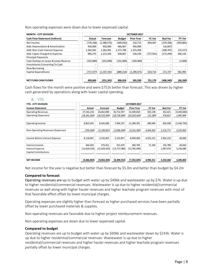Non-operating expenses were down due to lower expensed capital.

| <b>MONTH - CITY DIVISION</b>          |                          | OCTOBER 2017             |                          |                   |                          |                |            |  |  |  |
|---------------------------------------|--------------------------|--------------------------|--------------------------|-------------------|--------------------------|----------------|------------|--|--|--|
| <b>Cash Flow Statement (Indirect)</b> | Actual                   | Forecast                 | <b>Budget</b>            | <b>Prior Year</b> | <b>FC Var</b>            | <b>Bud Var</b> | PY Var     |  |  |  |
| Net Income                            | (729,168)                | (1,588,575)              | (449, 810)               | 210,713           | 859,407                  | (279, 358)     | (939, 881) |  |  |  |
| Add: Depreciation & Amortization      | 450.000                  | 450,000                  | 466,667                  | 450,000           | -                        | (16, 667)      |            |  |  |  |
| Add: Non-Cash Interest Expense        | 1,262,941                | 1,262,941                | 1,371,708                | 1,315,458         | $\overline{\phantom{0}}$ | (108, 767)     | (52, 517)  |  |  |  |
| Add: Capex Charged to Expense         | 485,373                  | 1,213,324                | 658,667                  | 139,230           | (727, 951)               | (173, 294)     | 346,143    |  |  |  |
| <b>Principal Payments</b>             |                          |                          |                          |                   |                          |                |            |  |  |  |
| Cash Outlays on Lease & Lease Reserve | (252,000)                | (252,000)                | (252,000)                | (250,000)         |                          |                | (2,000)    |  |  |  |
| <b>Investments Converting To Cash</b> | $\overline{\phantom{a}}$ | $\overline{\phantom{0}}$ | $\overline{\phantom{0}}$ |                   |                          |                |            |  |  |  |
| New Borrowing                         | -                        |                          |                          |                   |                          |                |            |  |  |  |
| Capital Expenditures                  | (717,477)                | (1, 337, 191)            | (889, 214)               | (1, 299, 471)     | 619,714                  | 171,737        | 581,995    |  |  |  |
|                                       |                          |                          |                          |                   |                          |                |            |  |  |  |
| <b>NET FUND CASH FLOWS</b>            | 499,669                  | (251, 501)               | 906,018                  | 565,930           | 751,170                  | (406, 349)     | (66, 260)  |  |  |  |

Cash flows for the month were positive and were \$751k better than forecast. This was driven by higher cash generated by operations along with lower capital spending.

## B. YTD

| <b>YTD - CITY DIVISION</b>        |                |                |                | OCTOBER 2017      |           |                |             |
|-----------------------------------|----------------|----------------|----------------|-------------------|-----------|----------------|-------------|
| <b>Income Statement</b>           | Actual         | Forecast       | <b>Budget</b>  | <b>Prior Year</b> | FC Var    | <b>Bud Var</b> | PY Var      |
| <b>Operating Revenues</b>         | 27, 165, 218   | 26,662,080     | 26,712,597     | 31,609,818        | 503,138   | 452,621        | (4,444,600) |
| Operating (Expenses)              | (18, 341, 583) | (18, 319, 394) | (18, 718, 400) | (20, 329, 426)    | (22, 189) | 376,817        | 1,987,844   |
|                                   |                |                |                |                   |           |                |             |
| Operating Income                  | 8,823,635      | 8,342,686      | 7,994,197      | 11,280,391        | 480,949   | 829,438        | (2,456,756) |
|                                   |                |                |                |                   |           |                |             |
| Non-Operating Revenues (Expenses) | (705,569)      | (5, 149, 831)  | (2,838,340)    | (3, 231, 385)     | 4,444,263 | 2,132,771      | 2,525,816   |
|                                   |                |                |                |                   |           |                |             |
| Income Before Interest Expense    | 8,118,067      | 3,192,855      | 5,155,857      | 8,049,006         | 4,925,212 | 2,962,210      | 69,060      |
|                                   |                |                |                |                   |           |                |             |
| Interest Income                   | 444,450        | 373,351        | 251,670        | 383,794           | 71,100    | 192,780        | 60,656      |
| <b>Interest Expense</b>           | (12,629,410)   | (12,629,410)   | (13,717,080)   | (15,785,496)      | ٠         | 1,087,670      | 3,156,086   |
| <b>Capital Contributions</b>      |                |                |                |                   |           |                |             |
|                                   |                |                |                |                   |           |                |             |
| <b>NET INCOME</b>                 | (4,066,893)    | (9,063,204)    | (8,309,553)    | (7,352,695)       | 4,996,311 | 4,242,660      | 3,285,802   |

Net income for the year is negative but better than forecast by \$5.0m and better than budget by \$4.2m

#### **Compared to forecast**

Operating revenues are up to budget with water up by \$496k and wastewater up by \$7k. Water is up due to higher residential/commercial revenues. Wastewater is up due to higher residential/commercial revenues as well along with higher hauler revenues and higher leachate program revenues with most of that favorable effect offset by lower municipal charges.

Operating expenses are slightly higher than forecast as higher purchased services have been partially offset by lower purchased materials & supplies.

Non-operating revenues are favorable due to higher project reimbursement revenues.

Non-operating expenses are down due to lower expensed capital.

#### **Compared to budget**

Operating revenues are up to budget with water up by \$696k and wastewater down by \$243k. Water is up due to higher residential/commercial revenues. Wastewater is up due to higher residential/commercial revenues and higher hauler revenues and higher leachate program revenues partially offset by lower municipal charges.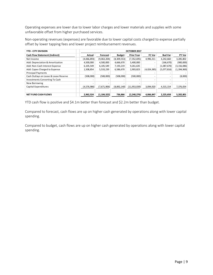Operating expenses are lower due to lower labor charges and lower materials and supplies with some unfavorable offset from higher purchased services.

Non-operating revenues (expenses) are favorable due to lower capital costs charged to expense partially offset by lower tapping fees and lower project reimbursement revenues.

| <b>YTD - CITY DIVISION</b>            |             |               |               | OCTOBER 2017      |               |                |               |
|---------------------------------------|-------------|---------------|---------------|-------------------|---------------|----------------|---------------|
| <b>Cash Flow Statement (Indirect)</b> | Actual      | Forecast      | <b>Budget</b> | <b>Prior Year</b> | <b>FC Var</b> | <b>Bud Var</b> | PY Var        |
| Net Income                            | (4,066,893) | (9,063,204)   | (8,309,553)   | (7, 352, 695)     | 4,996,311     | 4,242,660      | 3,285,802     |
| Add: Depreciation & Amortization      | 4,500,000   | 4,500,000     | 4,666,670     | 5,400,000         |               | (166, 670)     | (900,000)     |
| Add: Non-Cash Interest Expense        | 6,105,549   | 6,105,549     | 7,193,219     | 9,261,635         |               | (1,087,670)    | (3, 156, 086) |
| Add: Capex Charged to Expense         | 1,508,854   | 5,533,239     | 6,586,670     | 2,903,823         | (4,024,385)   | (5,077,816)    | (1,394,969)   |
| <b>Principal Payments</b>             |             |               |               |                   |               |                |               |
| Cash Outlays on Lease & Lease Reserve | (508,000)   | (508,000)     | (508,000)     | (500,000)         |               |                | (8,000)       |
| <b>Investments Converting To Cash</b> |             |               |               |                   |               |                |               |
| New Borrowing                         |             |               |               |                   |               |                |               |
| Capital Expenditures                  | (4,576,986) | (7,671,906)   | (8,892,140)   | (11,953,039)      | 3,094,920     | 4,315,154      | 7,376,054     |
|                                       |             |               |               |                   |               |                |               |
| <b>NET FUND CASH FLOWS</b>            | 2,962,524   | (1, 104, 322) | 736,866       | (2,240,276)       | 4,066,847     | 2,225,658      | 5,202,801     |

YTD cash flow is positive and \$4.1m better than forecast and \$2.2m better than budget.

Compared to forecast, cash flows are up on higher cash generated by operations along with lower capital spending.

Compared to budget, cash flows are up on higher cash generated by operations along with lower capital spending.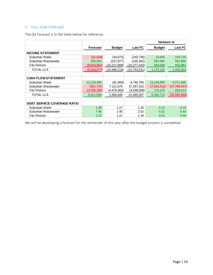## 5. FULL YEAR FORECAST

The Q3 Forecast is in the table below for reference.

|                                    |                 |                |                | <b>Variance to</b> |                |
|------------------------------------|-----------------|----------------|----------------|--------------------|----------------|
|                                    | <b>Forecast</b> | <b>Budget</b>  | <b>Last FC</b> | <b>Budget</b>      | <b>Last FC</b> |
| <b>INCOME STATEMENT</b>            |                 |                |                |                    |                |
| Suburban Water                     | (21, 018)       | (34, 673)      | (240,736)      | 13,655             | 219,718        |
| Suburban Wastewater                | 326,504         | (237,977)      | (235, 352)     | 564,481            | 561,856        |
| City Division                      | (9,623,562)     | (10,217,568)   | (10, 277, 443) | 594,006            | 653,881        |
| TOTAL LCA                          | (9,318,077)     | (10, 490, 218) | (10,753,531)   | 1,172,141          | 1,435,454      |
|                                    |                 |                |                |                    |                |
| <b>CASH FLOW STATEMENT</b>         |                 |                |                |                    |                |
| Suburban Water                     | 13,118,480      | (81, 469)      | 8,746,795      | 13,199,950         | 4,371,685      |
| Suburban Wastewater                | (501, 737)      | 7,121,675      | 37,287,310     | (7,623,412)        | (37, 789, 047) |
| City Division                      | (3,705,185)     | (4,479,360)    | (4,538,598)    | 774,175            | 833,413        |
| TOTAL LCA                          | 8,911,558       | 2,560,846      | 41,495,507     | 6,350,712          | (32,583,950)   |
|                                    |                 |                |                |                    |                |
| <b>DEBT SERVICE COVERAGE RATIO</b> |                 |                |                |                    |                |
| Suburban Water                     | 1.38            | 1.27           | 1.20           | 0.12               | 0.19           |
| Suburban Wastewater                | 7.96            | 2.45           | 2.52           | 5.51               | 5.44           |
| City Division                      | 1.22            | 1.21           | 1.18           | 0.01               | 0.04           |

We will be developing a forecast for the remainder of this year after the budget process is completed.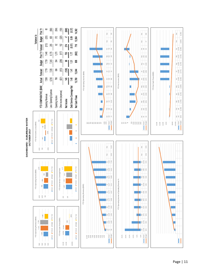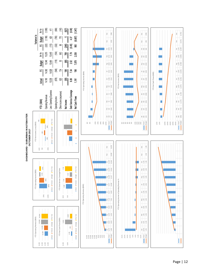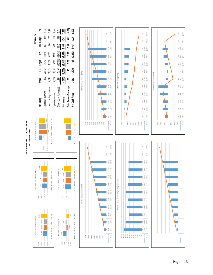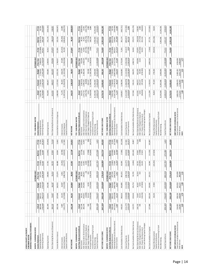| LEHIG H COUNTY AUTHORITY<br>SUBURBAN WATER                      |                             |                        |                          |                          |                         |                        |                       |                                                                 |                                |                                  |                                |                              |                             |                                         |                          |
|-----------------------------------------------------------------|-----------------------------|------------------------|--------------------------|--------------------------|-------------------------|------------------------|-----------------------|-----------------------------------------------------------------|--------------------------------|----------------------------------|--------------------------------|------------------------------|-----------------------------|-----------------------------------------|--------------------------|
| MONTHLY FINANCIAL STATEMENTS                                    |                             |                        |                          |                          |                         |                        |                       |                                                                 |                                |                                  |                                |                              |                             |                                         |                          |
| MONTH - SUBURBAN WATER                                          |                             |                        |                          | CTOBER 2017              |                         |                        |                       | YTD - SUBURBAN WATER                                            |                                |                                  |                                | OCTOBER 2017                 |                             |                                         |                          |
| Income Statement                                                | Actual                      | Forecast               | <b>Budget</b>            | Prior Year               | FC Var                  | <b>Bud Var</b>         | <b>PY Var</b>         | Income Statement                                                | Actual                         | Forecast                         | <b>Budget</b>                  | <b>Prior Year</b>            | FCVar                       | <b>Bud Var</b>                          | PY Var                   |
| Operating Revenues                                              | 899,449                     | 905,112                | 928,918                  | ,244<br>877,             | (5, 663)                | (29, 469)              | 22,205                | Operating Revenues                                              | 7,505,740                      | 7,718,639                        | 7,739,013                      | 7,446,014                    | (212, 899)                  | (233, 273)                              | 59,726                   |
| Operating (Expenses)                                            | (718,045)                   | (781, 471)             | (734, 533)               | (636, 384)               | 63,426                  | 16,488                 | (81, 661)             | Operating (Expenses)                                            | (6,739,881)                    | (7,034,792)                      | (7, 345, 330)                  | (6, 176, 053)                | 294,911                     | 605,449                                 | 563,828                  |
| Operating Income                                                | 181,404                     | 123,641                | 194,385                  | 240,860                  | 57,763                  | (12, 981)              | (59, 456)             | Operating Income                                                | 765,859                        | 683, 847                         | 393,683                        | 1,269,961                    | 82,012                      | 372,176                                 | (504, 102)               |
| Non-Operating Revenues (Expenses)                               | 104,132                     | 73,407                 | 66,167                   | 31,014                   | 30,725                  | 37,965                 | 73,118                | Non-Operating Revenues (Expenses)                               | 615,051                        | 444,072                          | 661,670                        | 476,996                      | 170,979                     | (46, 619)                               | 138,055                  |
| Income Before Interest                                          | 285,536                     | 197,048                | 260,552                  | 271,874                  | 88,488                  | 24,984                 | 13,662                | Income Before Interest Expense                                  | 1,380,909                      | 1,127,918                        | 1,055,353                      | 1,746,957                    | 252,991                     | 325,556                                 | (366,047                 |
| Interest Income                                                 | 7,887                       | 14,143                 | 16,667                   | 4,961                    | (6,256)                 | 780)<br>œ,             | 2,926                 | Interest Income                                                 | 71,276                         | 96,429                           | 166,670                        | 47,288                       | (25, 153)                   |                                         | 23,989                   |
| Interest Expense                                                | (131, 277)                  | (117,000)              | (112, 355)               | (248, 742)               | (14, 277)               | (18, 922)              | 117,465               | Interest Expense                                                | (1,307,611)                    | (1, 352, 870)                    | (1, 123, 550)                  | (1,041,036)                  | 45,259                      | $(95, 394)$<br>$(184, 061)$             | (266, 574)               |
| Capital Contributions                                           |                             |                        |                          |                          |                         |                        |                       | Capital Contributions                                           |                                |                                  |                                |                              |                             |                                         |                          |
| NETINCOME                                                       | 162,146                     | 94,191                 | 164,864                  | 28,092                   | 67,955                  | (2,718)                | 134,053               | NET INCOME                                                      | 144,575                        | $\overline{522}$<br>(128,        | 98,473                         | 753,208                      | 273,097                     | 46,102                                  | (608,633)                |
| MONTH - SUBURBAN WATER                                          |                             |                        |                          | CTOBER 2017              |                         |                        |                       | YTD - SUBURBAN WATER                                            |                                |                                  |                                | OCTOBER 201                  |                             |                                         |                          |
| Cash Flow Statement (Indirect)                                  | Actual                      | Forecast               | <b>Budget</b>            | Prior Year               | FC Var                  | Bud Var                | <b>PY Var</b>         | Cash Flow Statement (Indirect)                                  | Actual                         | Forecast                         | Budget                         | Prior Year                   | FC Var                      | Bud Var                                 | PY Var                   |
| NetIncome                                                       | 162,146                     | 94,191                 | 164,864                  | 28,092                   | 67,955                  | (2,718)                | 134,053               | Net Income                                                      | 144,575                        | (128, 522)                       | 98,473                         | 753,208                      | 273,097                     | 46,102                                  | (608,633)                |
| Add: Depreciation & Amortization                                | 260,234                     | 245,832                | 245,833                  | 245,832                  | 14,402                  | 14,401                 | 14,402                | Add: Depreciation & Amortization                                | 2,472,722                      | 2,458,320                        | ,458,330                       | 2,458,320                    | 14,402                      | 14,392                                  | 14,402                   |
| Add: Non-Cash Interest Expense<br>Add: Capex Charged to Expense | 345                         | (2,000)<br>25,314      | 8,333                    | ε<br>433                 | (24,969)<br>2,000       | (7, 988)               | (88)<br>$\circ$       | Add: Non-Cash Interest Expense<br>Add: Capex Charged to Expense | (105, 776)<br>5,611            | (8,000)<br>253, 137              | 83,330                         | ε<br>3,532                   | $(97, 776)$<br>$(247, 526)$ | $(105,776)$<br>$(77,719)$               | (105, 776)<br>2,080      |
| Principal Payments                                              | (195, 676)                  | (139,000)              | (152, 816)               | (150, 205)               | (56, 676)               | (42, 860)              | (45, 471)             | Principal Payments                                              | (1,358,924)                    | (1, 358, 596)                    | (1,528,160)                    | (1,365,810)                  | (329)                       | 169,236                                 | 6,886                    |
| Investments Converting To Cash                                  |                             |                        |                          |                          |                         |                        |                       | Investments Converting To Cash                                  |                                |                                  |                                |                              |                             |                                         |                          |
| Capital Expenditures<br>New Borrowing                           | (894, 169)                  | (726,467)              | (620,583)                | (900, 592)               | (167, 702)              | (273,586)              | 6,423                 | Capital Expenditures<br>New Borrowing                           | (2,690,513)<br>15,292,006      | (3,464,664)<br>15,292,006        | (6, 205, 830)<br>5,900,000     | (2, 450, 888)                | 774,151                     | 9,392,006<br>3,515,317                  | 15,292,006<br>(239, 625) |
| NET FUND CASH FLOWS                                             | (667, 120)                  | (502, 130)             | (354, 369)               | (776, 441)               | (164, 990)              | (312,751)              | 109,320               | NET FUND CASH FLOWS                                             | 13,759,701                     | 13,043,681                       | 806,143                        | (601, 638)                   | 716,020                     | 12,953,558                              | 14,361,340               |
|                                                                 |                             |                        |                          |                          |                         |                        |                       |                                                                 |                                |                                  |                                |                              |                             |                                         |                          |
| MONTH - SUBURBAN WATER                                          |                             |                        |                          | CTOBER 2013              |                         |                        |                       | YTD - SUBURBAN WATER                                            |                                |                                  |                                | OCTOBER 2017                 |                             |                                         |                          |
| Cash Flow Statement (Direct)                                    | Actual                      | Forecast               | <b>Budget</b>            | Prior Year               | FCVar                   | Bud Var                | PY Var                | Cash Flow Statement (Direct)                                    | Actual                         | Forecast                         | <b>Budget</b>                  | Prior Year                   | FC Var                      | Bud Var                                 | PY Var                   |
| Operating Revenues<br>Operating Expenses (Ex Depreciation)      | (457, 811)<br>899,449       | (535, 639)<br>905,112  | (488,700)<br>928,918     | (390, 552)<br>877,244    | $(5, 663)$<br>$77, 828$ | (29, 469)<br>30,889    | 22,205                | Depredation)<br>Operating Revenues                              | (4,267,159)<br>7,505,740       | (4, 576, 472)<br>7,718,639       | (4, 887, 000)<br>7,739,013     | (3, 717, 733)<br>7,446,014   | (212, 899)<br>309,313       | (233, 273)<br>619,841                   | (549, 426)<br>59,726     |
| Interest Income                                                 | 7,887                       | 14,143                 | 16,667                   | 4,961                    | (6, 256)                | (8,780)                | $(67,259)$<br>$2,926$ | Operating Expenses (Ex<br>Interest Income                       | 71,276                         | 96,429                           | 166,670                        | ,288<br>47,                  | (25, 153)                   | (95, 394)                               | 23,989                   |
| Cash Available For Debt Service                                 | 449,525                     | 383,616                | 456,885                  | 491,653                  | 65,909                  | (7,360)                | (42, 128)             | Cash Available For Debt Service                                 | 3,309,857                      | 3,238,596                        | 3,018,683                      | 3,775,569                    | 71,261                      | 291,174                                 | (465,711)                |
| Principal Payments<br>Interest Payments                         | (131, 277)<br>(195, 676)    | (119,000)<br>(139,000) | (112, 355)<br>(152, 816) | (248, 742)<br>(150, 205) | (12, 277)<br>(56, 676)  | (18, 922)<br>(42, 860) | 117,465<br>(45, 471)  | Principal Payments<br>Interest Payments                         | (1, 413, 387)<br>(1, 358, 924) | (1,360,870)<br>,596)<br>(1,358,  | (1, 123, 550)<br>(1, 528, 160) | (1,041,036)<br>(1, 365, 810) | (52, 517)<br>(329)          | (289, 837)<br>169,236                   | [372, 350]<br>6,886      |
| Net Cash Available After Debt Service                           | 122,572                     | 125,616                | 191,714                  | 92,705                   | (3,044)                 | (69, 142)              | 29,867                | Net Cash Available After Debt Service                           | 537,546                        | 519,131                          | 366,973                        | 1,368,722                    | 18,416                      | 170,573                                 | (831, 176)               |
| Non-Operating Revenues (Expenses)                               | 104,132                     |                        | 66,167                   | 31,014                   |                         | 37,965                 |                       | Non-Operating Revenues (Expenses                                | 615,051                        |                                  | 661,670                        | 476,996                      | 170,979                     |                                         | 138,055                  |
| Add: Capex Charged to Expense                                   | 345                         | 73,407<br>25,314       | 8,333                    | 433                      | 30,725<br>(24,969)      | (7,988)                | 73,118                | Add: Capex Charged to Expense                                   | 5,611                          | 444,072<br>253, 137<br>(97, 329) | 83,330                         | 3,532                        | (247, 526)                  | $(46, 619)$<br>$(77, 719)$<br>$231,516$ | 2,080                    |
| Non-Cash Working Capital Changes<br>Less: Project Reimbursement |                             | (24, 233)              | (27, 833)                |                          | 24,233                  | 27,833                 |                       | Non-Cash Working Capital Changes<br>Less: Project Reimbursement | (46, 814)                      |                                  | (278, 330)                     |                              | 50,515                      |                                         | (46, 814)                |
| Net Cash Available For Capital                                  | 227,048                     | 200,104                | 238,381                  | 124,151                  | 26,944                  | (11, 333)              | 102,897               | Net Cash Available For Capital                                  | 1,111,394                      | 1,119,010                        | 833,643                        | 1,849,250                    | (7, 616)                    | 277,751                                 | (737, 855)               |
| Project Reimbursement                                           |                             | 24,233                 | 27,833                   |                          | (24, 233)               | (27, 833)              |                       | Project Reimbursement                                           | 46,814                         | 97,329                           | 278,330                        |                              | (50, 515)                   | (231, 516)                              | 46,814                   |
| Capital Contributions                                           | $\mathbf{r} = \mathbf{r}$ . |                        |                          |                          |                         |                        |                       | Capital Contributions                                           |                                |                                  |                                | $\mathbf{r} = \mathbf{r}$ .  |                             |                                         |                          |
| Investments Converting To Cash<br>New Borrowing                 | $\mathbf{L}$                |                        |                          |                          | $\mathbf{r}$            | $\mathbf{r}$           |                       | Investments Converting To Cash<br>New Borrowing                 | 15,292,006                     | 15,292,006                       | 5,900,000                      | $\mathbf{r}$<br>$\,$         |                             | 9,392,006                               | 15,292,006               |
| Capital Expenditures                                            | (894, 169)                  | (726, 467)             | (620, 583)               | 900,592                  | (167, 702)              | (273,586)              | 6,423                 | Capital Expenditures                                            | (2,690,513)                    | (3,464,664)                      | (6, 205, 830)                  | (2, 450, 888)                | 774,151                     | 3,515,317                               | (239, 625)               |
| NET FUND CASH FLOWS                                             | (667, 120)                  | (502, 130)             | (354,369)                | (776, 441)               | (164, 990)              | (312, 751)             | 109,320               | NET FUND CASH FLOWS                                             | 13,759,701                     | 13,043,681                       | 806,143                        | (601,638)                    | 716,020                     | 12,953,558                              | 14,361,340               |
| DEBT SERVICE COVERAGE RATIO                                     |                             |                        |                          |                          |                         |                        |                       | DEBT SERVICE COVERAGE RATIO                                     |                                |                                  |                                |                              |                             |                                         |                          |
| Total Cash Available For Debt Service                           | 554,002                     | 458,104                | 503,552                  | 523,099                  |                         |                        |                       | Total Cash Available For Debt Service                           | 3,883,705                      | 3,838,476                        | 3, 485, 353                    | 4,256,096                    |                             |                                         |                          |
| Debt Service<br>DSCR                                            | 326,953<br>1.69             | 258,000<br>1.78        | 1.90<br>265,171          | 398,948<br>1.31          |                         |                        |                       | Debt Service<br><b>DSCR</b>                                     | 2,772,311<br>1.40              | 2,719,465<br>1.41                | 2,651,710<br>1.31              | 2,406,846<br>ΓT              |                             |                                         |                          |
|                                                                 |                             |                        |                          |                          |                         |                        |                       |                                                                 |                                |                                  |                                |                              |                             |                                         |                          |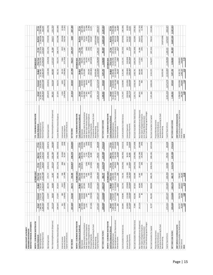| MONTHLY FINANCIAL STATEMENTS<br>LEHIGH COUNTY AUTHORITY<br>SUBURBAN WASTEWATER |                          |                            |                            |                            |                             |                          |                          |                                                                      |                            |                              |                              |                            |                      |                             |                        |
|--------------------------------------------------------------------------------|--------------------------|----------------------------|----------------------------|----------------------------|-----------------------------|--------------------------|--------------------------|----------------------------------------------------------------------|----------------------------|------------------------------|------------------------------|----------------------------|----------------------|-----------------------------|------------------------|
|                                                                                |                          |                            |                            |                            |                             |                          |                          |                                                                      |                            |                              |                              |                            |                      |                             |                        |
| MONTH - SUBURBAN WASTEWATER                                                    |                          |                            | ŏ                          | CTOBER 2017                |                             |                          |                          | YTD - SUBURBAN WASTEWATER                                            |                            |                              |                              | OCTOBER 2017               |                      |                             |                        |
| Income Statement                                                               | Actual                   | Forecast                   | Budget                     | <b>Prior Year</b>          | FC Var                      | Bud Va                   | PY Var                   | Income Statement                                                     | Actual                     | Forecast                     | Budget                       | Prior Year                 | FCVar                | Bud Var                     | PYVar                  |
| Operating (Expenses)<br>Operating Revenues                                     | (1,690,362)<br>1,485,208 | (1, 642, 270)<br>1,755,267 | (1,546,447)<br>1,732,187   | (1, 455, 338)<br>1,831,055 | (48, 092)<br>270,059        | (143, 915)<br>(246, 979) | (345, 847)<br>(235, 025) | Operating (Expenses<br>Operating Revenues                            | (15,038,362)<br>14,160,334 | (14, 927, 700)<br>14,381,848 | (15, 464, 470)<br>15,346,362 | (15,448,832)<br>15,254,783 | (221,514)<br>110,662 | (1, 186, 028)<br>426,108    | (1,094,448)<br>410,470 |
| Operating Income                                                               | (205, 154)               | 112,997                    | 185,740                    | 375,717                    | (318, 151)                  | (390, 894)               | (580, 871)               | Operating Income                                                     | (878, 027)                 | 545,851                      | (118, 108)                   | (194, 050)                 | (332, 176)           | (759,919)                   | (683,978)              |
| Non-Operating Revenues (Expenses)                                              | (35, 113)                | 58,010                     | 66,083                     | 13,467                     | (93, 123)                   | (101, 196)               | (48, 580)                | Non-Operating Revenues (Expenses)                                    | 995,501                    | 910,104                      | 660,830                      | 1,127,223                  | 85,398               | 334,671                     | (131, 722)             |
| Income Before Interest Expense                                                 | (240, 267)               | 171,007                    | 251,823                    | 389,184                    | (411, 274)                  | (492,090)                | (629, 452)               | Income Before Interest Expense                                       | 117,474                    | 364,253                      | 542,722                      | 933,174                    | (246, 777)           | (425, 248)                  | (815, 699)             |
| Interest Income                                                                | 301                      | 389                        | 9,917                      |                            | 88)<br>395                  |                          |                          | Interest Income                                                      | 3,534                      | 3,891                        | 99,170                       | 7,860                      |                      | $(95, 636)$<br>530,766      |                        |
| Interest Expense                                                               | (17, 636)                | (18, 031)                  | (70, 969)                  | 506<br>(17,286)            |                             | $(9,616)$<br>53,333      | $(205)$<br>$(349)$       | Interest Expense                                                     | (178,924)                  | (180, 311)                   | (709, 690)                   | (171, 763)                 | $(357)$<br>$1,387$   |                             | $(4,326)$<br>$(7,161)$ |
| Capital Contributions                                                          |                          |                            |                            |                            |                             |                          |                          | Capital Contributions                                                |                            |                              |                              |                            |                      |                             |                        |
| <b>NET INCOME</b>                                                              | (257, 602)               | 153,365                    | 190,771                    | 372,404                    | 410,967)                    | (448, 373)               | (630,006)                | <b>NETINCOME</b>                                                     | 57,915)                    | 187,833                      | P98)<br>ē,                   | 769,271                    | (245, 747)           | 9,883                       | (827, 186)             |
| MONTH - SUBURBAN WASTEWATER                                                    |                          |                            | ŏ                          | <b>TOBER 2017</b>          |                             |                          |                          | YTD - SUBURBAN WASTEWATER                                            |                            |                              |                              | OCTOBER 2017               |                      |                             |                        |
| Cash Flow Statement (Indirect)                                                 | Actual                   | Forecast                   | <b>Budget</b>              | Prior Year                 | FC Var                      | <b>Bud Var</b>           | PY Var                   | Cash Flow Statement (Indirect)                                       | Actual                     | Forecast                     | <b>Budget</b>                | Prior Year                 | FCVar                | <b>Bud Var</b>              | <b>PYVar</b>           |
| Net Income                                                                     | (257, 602)               | 153,365                    | 190,771                    | 372,404                    | (410, 967)                  | (448, 373)               | (630,006)                | Net Income                                                           | (57, 915)                  | 187,833                      | (67, 798)                    | 769,271                    | (245, 748)           | 9,883                       | (827, 186)             |
| Add: Depredation & Amortization                                                | 364,694                  | 364,694                    | 327,083                    | 334, 133                   |                             | 37,611                   | 30,561                   | Add: Depreciation & Amortization                                     | 3,646,940                  | 3,646,940                    | 3,270,830                    | 3,341,330                  |                      | 376,110                     | 305,610                |
| Add: Non-Cash Interest Expense<br>Add: Capex Charged to Expense                | 2,741                    | 86<br>2,847                |                            | 3,001<br>993               | (106)                       | 2,741                    | (260)<br>(993)           | Add: Non-Cash Interest Expense<br>Add: Capex Charged to Expense      | 27,961<br>681              | 28,470<br>862                | 250,000                      | 29,759<br>2,461            | (508)                | [249, 319]<br>27,961        | (1,780)<br>(1,798)     |
| Principal Payments                                                             | (67, 106)                | (39,500)                   | 25,000                     | (42, 262)                  | (27, 606)                   | $(25,000)$<br>$26,840$   | (24, 844)                | Principal Payments                                                   | (395, 773)                 | (394, 999)                   | (939, 460)                   | (407, 844)                 | $(181)$<br>$(774)$   | 543,687                     | 12,071                 |
| Investments Converting To Cash                                                 |                          |                            |                            |                            |                             |                          |                          | Investments Converting To Cash                                       |                            |                              |                              |                            |                      |                             |                        |
| Capital Expenditures<br>New Borrowing                                          | (272, 161)               | (597, 147                  | (551,083)                  | (185, 493)                 | 324,986                     | 278,922                  | (86, 668)                | Capital Expenditures<br>New Borrowing                                | (2,031,333)                | (3,271,474)                  | (5, 510, 830)<br>10,875,000  | (1, 196, 896)              | 1,240,141            | (10, 875, 000)<br>3,479,497 | (834, 437)             |
|                                                                                |                          |                            |                            |                            |                             |                          |                          |                                                                      |                            |                              |                              |                            |                      |                             |                        |
| NET FUND CASH FLOWS                                                            | (229, 434)               | (115, 655)                 | (102, 175)                 | 482,777                    | (113, 779)                  | (127, 259)               | (712, 211)               | NET FUND CASH FLOWS                                                  | 1,190,561                  | 197,632                      | 7,877,742                    | 2,538,082                  | 992,929              | (6,687,181)                 | (1, 347, 521)          |
| MONTH - SUBURBAN WASTEWATER                                                    |                          |                            | ŏ                          | TOBER 201                  |                             |                          |                          | YTD - SUBURBAN WASTEWATER                                            |                            |                              |                              | OCTOBER 2017               |                      |                             |                        |
| Cash Flow Statement (Direct)                                                   | Actual                   | Forecast                   | <b>Budget</b>              | <b>Prior Year</b>          | FC Var                      | <b>Bud Var</b>           | PY Var                   | Cash                                                                 | Actual                     | Forecast                     | <b>Budget</b>                | Prior Year                 | FCVar                | Bud Var                     | <b>PYVar</b>           |
| Operating Revenues                                                             | 1,485,208                | 1,755,267                  | 1,732,187                  |                            | (270,059)                   | (246, 979)               | (345, 847)               | Operating Revenues                                                   | 14,160,334                 | 14,381,848                   | 15,346,362                   | 15,254,783                 | (221, 514)           | (1, 186, 028)               | (1,094,448)            |
| Operating Expenses (Ex Depreciation)                                           | (1, 325, 668)            | (1, 277, 576)<br>389       | (1, 219, 364)              | 1,831,055<br>(1,121,205)   | (48, 092)                   | (106, 304)               | 204,464<br>(205)         | Operating Expenses (Ex Depreciation)                                 | (11, 391, 422)             | (11, 280, 760)               | (12, 193, 640)               | (12, 107, 502)             | (110, 662)           | 802,218                     | 716,080                |
| Interest Income                                                                | ន្ល                      |                            | 9,917                      |                            | $\overline{8}$              | (9,616)                  |                          | Interest Income                                                      | 3,534                      | 3,891                        | 99,170                       | 7,860                      | (357)                | (95, 636)                   | (4,326)                |
| Cash Available For Debt Service                                                | 159,840                  | 478,080                    | 522,740                    | 710,356                    | (318, 240)                  | (362, 900)               | (550, 515)               | Cash Available For Debt Service                                      | 2,772,447                  | 3,104,980                    | 3,251,892                    | 3,155,141                  | (332, 533)           | (479, 445)                  | (382, 694)             |
| Interest Payments                                                              |                          | $(15, 184)$<br>$(39, 500)$ | $(70, 969)$<br>$(93, 946)$ | (14, 285)                  | <b>289</b><br>606)          | 56,074                   | (610)                    | Interest Payments                                                    | (150, 963)                 | (151, 841)                   | (709, 690)                   | (142,004)                  | 878                  | 558,727<br>543,687          | (8,959)                |
| Principal Payments                                                             | $(14,895)$<br>$(67,106)$ |                            |                            | (42, 262)                  | (27,                        | 26,840                   | (24, 844)                | Principal Payments                                                   | 395,773)                   | (394, 999)                   | (939, 460)                   | (407, 844)                 | (774)                |                             | 12,071                 |
| Net Cash Available After Debt Service                                          | 77,840                   | 423,396                    | 357,825                    | 653,809                    | (345, 556)                  | (279, 985)               | (575, 969)               | Net Cash Available After Debt Service                                | 2,225,711                  | 2,558,140                    | 1,602,742                    | 2,605,293                  | (332, 429)           | 622,969                     | (379, 582)             |
| Non-Operating Revenues (Expenses)                                              | (35, 113)                | 58,010                     |                            | 13,467                     | (93, 123)                   | (101, 196)               | (48, 580)                | Non-Operating Revenues (Expenses)                                    | 995,501                    | 910,104                      | 660,830                      | 1,127,223                  | 85,398               | 334,671                     | (131, 722)             |
| Add: Capex Charged to Expense                                                  |                          | 86                         | 66,083<br>25,000           | 993                        | (86)                        | (25,000)                 | (993)                    | Add: Capex Charged to Expense                                        | 681                        | 862                          | 250,000                      | 2,461                      | (181)                | (249, 319)                  | (1,780)                |
| Less: Project Reimbursement                                                    |                          |                            |                            | $\mathbf{L}$               |                             |                          |                          | Less: Project Reimbursement                                          |                            |                              |                              |                            |                      |                             |                        |
| Non-Cash Working Capital Changes                                               |                          |                            |                            |                            |                             |                          |                          | Non-Cash Working Capital Changes                                     |                            |                              |                              |                            |                      |                             |                        |
| Net Cash Available For Capital                                                 | 42,727                   | 481, 492                   | 448,908                    | ,270<br>668                | 765<br>(438,                | (406, 181)               | 543)<br>(625,            | Net Cash Available For Capital                                       | 3,221,894                  | 3,469,106                    | 572<br>2,513,                | 3,734,977                  | (247, 212)           | 708,322                     | (513,083)              |
| Project Reimbursement                                                          |                          |                            |                            |                            |                             |                          |                          | Project Reimbursement                                                |                            |                              |                              |                            |                      |                             |                        |
| Capital Contributions                                                          |                          |                            |                            | $\mathbf{L}_{\mathrm{c}}$  | $\mathbf{r}$                | ٠                        |                          | Capital Contributions                                                |                            |                              | ×.                           |                            |                      |                             |                        |
| Investments Converting To Cash<br>New Borrowing                                | $\,$                     |                            | $\mathbf{r}$               | $\mathbf{r}$               | $\mathcal{F}_{\mathcal{A}}$ | $\mathbf{r}$             |                          | Investments Converting To Cash<br>New Borrowing                      | $\mathbf{r}$ .             |                              | 10,875,000                   |                            |                      | (10, 875, 000)              |                        |
| Capital Expenditures                                                           | (272, 161)               | (597, 147)                 | (551,083)                  | (185, 493)                 | 324,986                     | 278,922                  | (86, 668)                | Capital Expenditures                                                 | (2,031,333)                | (3,271,474)                  | (5, 510, 830)                | (1, 196, 896)              | 1,240,141            | 3,479,497                   | (834, 437)             |
| NET FUND CASH FLOWS                                                            | (229, 434)               | (115, 655)                 | (102, 175)                 | 482,777                    | (113, 779)                  | (127, 259)               | (712, 211)               | NET FUND CASH FLOWS                                                  | 1,190,561                  | 197,632                      | 7,877,742                    | 2,538,082                  | 992,929              | (6,687,181)                 | (1, 347, 521)          |
|                                                                                |                          |                            |                            |                            |                             |                          |                          |                                                                      |                            |                              |                              |                            |                      |                             |                        |
| Total Cash Available For Debt Service<br><b>DEBT SERVICE COVERAGE RATIO</b>    | 124,727                  | 536,176                    | 613,823                    | 724,817                    |                             |                          |                          | Total Cash Available For Debt Service<br>DEBT SERVICE COVERAGE RATIO | 3,768,629                  | 4,015,946                    |                              | 4,284,825                  |                      |                             |                        |
| Debt Service                                                                   | 82,000                   | 54,684                     | 164,915                    | 56,547                     |                             |                          |                          | Debt Service                                                         | 546,736                    | 546,840                      | $4,162,722$<br>$1,649,150$   | 549,848                    |                      |                             |                        |
| <b>DSCR</b>                                                                    | 1.52                     | 9.80                       | 3.72                       | 12.82                      |                             |                          |                          | DSCR                                                                 | 6.89                       | 7.34                         | 2.52                         | 7.79                       |                      |                             |                        |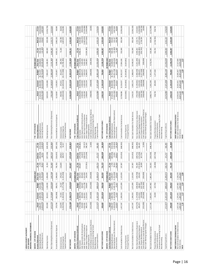| LEHIGH COUNTY AUTHORITY<br><b>CITY DIVISION</b>                      |                            |                                    |                                                                               |                          |                         |                              |                          |                                                                      |                                     |                                       |                              |                                    |                              |                              |                                       |
|----------------------------------------------------------------------|----------------------------|------------------------------------|-------------------------------------------------------------------------------|--------------------------|-------------------------|------------------------------|--------------------------|----------------------------------------------------------------------|-------------------------------------|---------------------------------------|------------------------------|------------------------------------|------------------------------|------------------------------|---------------------------------------|
| MONTHLY FINANCIAL STATEMENTS                                         |                            |                                    |                                                                               |                          |                         |                              |                          |                                                                      |                                     |                                       |                              |                                    |                              |                              |                                       |
| MONTH - CITY DIVISION                                                |                            |                                    | Ō                                                                             | <b>CTOBER 2017</b>       |                         |                              |                          | YTD-CITY DIVISION                                                    |                                     |                                       |                              | OCTOBER 2017                       |                              |                              |                                       |
| Income Statement                                                     | Actual                     | Forecast                           | <b>Budget</b>                                                                 | Prior Year               | FCVar                   | Bud Var                      | PY Var                   | Income Statement                                                     | Actual                              | Forecast                              | <b>Budget</b>                | Prior Year                         | FC Var<br>503,138            | Bud Var                      | PYVar                                 |
| Operating (Expenses)<br>Operating Revenues                           | (1, 833, 079)<br>2,686,447 | (1,872,693)<br>2,684,708           | (1,871,840)<br>3,052,405                                                      | (1,703,260)<br>3,199,957 | 1,739<br>39,614         | (365, 958)<br>38,761         | (513, 510)<br>(129, 819) | Operating (Expenses)<br>Operating Revenues                           | (18, 341, 583)<br>27,165,218        | (18, 319, 394)<br>26,662,080          | (18, 718, 400)<br>26,712,597 | 31,609,818<br>(20, 329, 426)       | (22, 189)                    | 452,621<br>376,817           | (4,444,600)<br>1,987,844              |
| Operating Income                                                     | 853,369                    | 812,015                            | 1,180,565                                                                     | 1,496,698                | 41,354                  | (327, 196)                   | (643, 329)               | Operating Income                                                     | 8,823,635                           | 8,342,686                             | 7,994,197                    | 11,280,391                         | 480,949                      | 829,438                      | (2,456,756)                           |
| Non-Operating Revenues (Expenses)                                    | (473, 575)                 | (1, 174, 984)                      | (283, 834)                                                                    | (149, 768)               | 701,409                 | (189, 741)                   | (323,806)                | Non-Operating Revenues (Expenses)                                    | (705, 569)                          | (5,149,831)                           | (2,838,340)                  | (3, 231, 385)                      | 4,444,263                    | 2,132,771                    | 2,525,816                             |
| Income Before Interest Expense                                       | 379,794                    | (362, 969)                         | 896,731                                                                       | 1,346,929                | 742,763                 | (516, 937)                   | (967, 135)               | Income Before Interest Expense                                       | 8,118,067                           | 3,192,855                             | 5,155,857                    | 8,049,006                          | 4,925,212                    | 2,962,210                    | 69,060                                |
|                                                                      | 153,979                    |                                    |                                                                               |                          | 116,644                 |                              |                          |                                                                      |                                     |                                       |                              |                                    | 71,100                       |                              |                                       |
| Capital Contributions<br>Interest Expense<br>Interest Income         | (1, 262, 941)              | (1, 262, 941)<br>37,335            | (1, 371, 708)<br>25,167                                                       | (1,315,458)<br>179,242   |                         | 128,812<br>108,767           | $(25, 263)$<br>$52, 517$ | Capital Contributions<br>Interest Expense<br>Interest Income         | (12, 629, 410)<br>444,450           | (12, 629, 410)<br>373,351             | 251,670<br>(13,717,080)      | (15,785,496)<br>383,794            |                              | 780<br>1,087,670<br>192,     | 60,656<br>3,156,086                   |
|                                                                      |                            |                                    |                                                                               |                          |                         |                              |                          |                                                                      |                                     |                                       |                              |                                    |                              |                              |                                       |
| NETINCOME                                                            | (729, 168)                 | (1,588,575)                        | (449, 810)                                                                    | 210,713                  | 859,407                 | (279, 358)                   | (939, 881)               | NET INCOME                                                           | (4,066,893)                         | (9,063,204)                           | (8,309,553)                  | (7, 352, 695)                      | 4,996,311                    | 4,242,660                    | 3,285,802                             |
| MONTH - CITY DIVISION                                                |                            |                                    | Ō                                                                             | CTOBER 2017              |                         |                              |                          | <b>YTD-CITY DIVISION</b>                                             |                                     |                                       |                              | OCTOBER 2017                       |                              |                              |                                       |
| Cash Flow Statement (Indirect)                                       | Actual                     | Forecast                           | <b>Budget</b>                                                                 | PriorYear                | FCVar                   | Bud Var                      | PY Var                   | Cash Flow Statement (Indirect)                                       | Actual                              | Forecast                              | <b>Budget</b>                | Prior Year                         | FC Var                       | Bud Var                      | PYVar                                 |
| NetIncome                                                            | (729, 168)                 | (1,588,575)                        | (449, 810)                                                                    | 210,713                  | 859,407                 | (279, 358)                   | (939,881)                | Net Income                                                           | (4,066,893)                         | (9,063,204)                           | (8, 309, 553                 | (7, 352, 695)                      | 4,996,311                    | 4,242,660                    | 3,285,802                             |
| Add: Depreciation & Amortization                                     | 450,000<br>1,262,941       | 450,000<br>1,262,941               | 1,371,708<br>466,667                                                          | 450,000                  |                         | (16, 667)                    | (52, 517)                | Add: Depredation & Amortization<br>Add: Non-Cash Interest Expense    | 4,500,000<br>6,105,549              | 4,500,000<br>6,105,549                | 4,666,670                    | 9,261,635<br>5,400,000             |                              | (166, 670)                   | (900,000)                             |
| Add: Non-Cash Interest Expense<br>Add: Capex Charged to Expense      | 485,373                    | 1,213,324                          | 658,667                                                                       | 1,315,458<br>139,230     | (727, 951)              | (173, 294)<br>108,767        | 346,143                  | Add: Capex Charged to Expense                                        | 1,508,854                           | 5,533,239                             | 7,193,219<br>6,586,670       | 2,903,823                          | (4,024,385)                  | (5,077,816)<br>(1,087,670)   | (3, 156, 086)<br>(1, 394, 969)        |
| Principal Payments                                                   |                            |                                    |                                                                               |                          |                         |                              |                          | Principal Payments                                                   |                                     |                                       |                              |                                    |                              |                              |                                       |
| Cash Outlays on Lease & Lease Reserve                                | (252,000)                  | (252,000)                          | (252,000)                                                                     | (250,000)                |                         |                              | (2,000)                  | Cash Outlays on Lease & Lease Reserve                                | (508,000)                           | (508,000)                             | (508,000)                    | (500,000)                          |                              |                              | (8,000)                               |
| Investments Converting To Cash                                       |                            |                                    |                                                                               |                          |                         |                              |                          | Investments Converting To Cash                                       |                                     |                                       |                              |                                    |                              |                              |                                       |
| Capital Expenditures<br>New Borrowing                                | (717, 477)                 | (1, 337, 191)                      | (889, 214)                                                                    | (1,299,471)              | 619,714                 | 171,737                      | 581,995                  | Capital Expenditures<br>New Borrowing                                | (4, 576, 986)                       | (7,671,906)                           | (8, 892, 140)                | (11, 953, 039)                     | 3,094,920                    | 4,315,154                    | 7,376,054                             |
|                                                                      |                            |                                    |                                                                               |                          |                         |                              |                          |                                                                      |                                     |                                       |                              |                                    |                              |                              |                                       |
| NET FUND CASH FLOWS                                                  | 499,669                    | (251,501)                          | 906,018                                                                       | 565,930                  | 751,170                 | (406,349)                    | (66, 260)                | NET FUND CASH FLOWS                                                  | 2,962,524                           | (1, 104, 322)                         | 736,866                      | (2, 240, 276)                      | £,<br>4,066,                 | 2,225,658                    | 5,202,801                             |
| MONTH-CITY DIVISION                                                  |                            |                                    | ō                                                                             | CTOBER 2017              |                         |                              |                          | YTD-CITY DIVISION                                                    |                                     |                                       |                              | OCTOBER 2017                       |                              |                              |                                       |
| Cash Flow Statement (Direct)                                         | Actual                     | Forecast                           | <b>Budget</b>                                                                 | Prior Year               | FCVar                   | Bud Var                      | PY Var                   | (Direct)<br><b>Cash Flow Statement</b>                               | Actual                              | Forecast                              | Budget                       | Prior Year                         | FC Var                       | Bud Var                      | PY Var                                |
| Operating Revenues                                                   | 2,686,447                  | 2,684,708                          | 3,052,405                                                                     | 3,199,957                | 1,739                   | (365,958)                    | (513, 510)               | Operating Revenues                                                   | 27,165,218                          | 26,662,080                            | 26,712,597                   | 31,609,818                         | 503,138                      | 452,621                      | (4,444,600)                           |
| Operating Expenses (Ex Depredation)                                  | (1, 383, 079)              | (1, 422, 693)                      | (1,405,173)                                                                   | (1, 253, 260)            | 39,614                  | 22,094                       | (129, 819)               | Operating Expenses (Ex Depreciation)                                 | (13, 841, 583)                      | (13, 819, 394)                        | (14,051,730)                 | (14, 929, 426)                     | (22, 189)                    | 210,147                      | 1,087,844                             |
| Interest Income                                                      | 153,979                    | 37,335                             | 25,167                                                                        | 179,242                  | 116,644                 | 128,812                      | (25, 263)                | Interest Income                                                      | 444,450                             | 373,351                               | 251,670                      | 383,794                            | 71,100                       | 192,780                      | 60,656                                |
| Cash Available For Debt Service                                      | 1,457,347                  | 1,299,350                          | 1,672,399                                                                     | 2,125,939                | 157,997                 | (215, 052)                   | 592)<br>(668,            | Cash Available For Debt Service                                      | 13,768,086                          | 13,216,037                            | 12,912,537                   | 17,064,186                         | 552,049                      | 549<br>855,                  | (3, 296, 100)                         |
| Interest Payments                                                    |                            | $\mathbf{r}$                       |                                                                               |                          |                         | $\mathbf{r}$                 |                          | Interest Payments                                                    | (6, 523, 861)                       | (6,523,861)                           | (6, 523, 861)                | (6,523,861)                        |                              |                              |                                       |
| Principal Payments                                                   |                            |                                    |                                                                               |                          |                         |                              |                          | Principal Payments                                                   |                                     |                                       |                              |                                    |                              |                              |                                       |
| Net Cash Available For Debt Service                                  | 1,457,347                  | 1,299,350                          | 1,672,399                                                                     | 2,125,939                | ,997<br>157             | (215,052                     | 592)<br>(668,            | Net Cash Available For Debt Service                                  | 7,244,225                           | 6,692,176                             | 6,388,676                    | 10,540,325                         | 552,049                      | 855,549                      | (3, 296, 100)                         |
| Non-Operating Revenues (Expenses)                                    |                            | (1, 174, 984)                      |                                                                               | (149, 768)               | 701,409                 |                              |                          | Non-Operating Revenues (Expenses)                                    | (705, 569)                          |                                       |                              | (3, 231, 385)                      | 4,444,263                    | 2,132,771                    |                                       |
| Add: Capex Charged to Expense                                        | $(473,575)$<br>$485,373$   |                                    |                                                                               | 139,230                  | $(727,951)$<br>$20,599$ | $(189, 741)$<br>$(173, 294)$ | $(323,806)$<br>$346,143$ | Add: Capex Charged to Expense                                        |                                     | $(5,149,831)$<br>$5,533,239$          | $(2,838,340)$<br>6,586,670   | 2,903,823                          | $(4,024,385)$<br>$(352,742)$ | $(5,077,816)$<br>$2,718,764$ | 2,525,816<br>(1,394,969)<br>(558,736) |
| Less: Project Reimbursement<br>Cash Outlays on Lease & Lease Reserve | (252,000)                  | 1,213,324<br>(20,599)<br>(252,000) | $\begin{array}{c} (283,834) \\ 658,667 \\ (327,750) \\ (252,000) \end{array}$ | (250,000)                |                         | 327,750                      | (2,000)                  | Cash Outlays on Lease & Lease Reserve<br>Less: Project Reimbursement | 1,508,854<br>(558,736)<br>(508,000) | ,994)<br>$(205, 994)$<br>$(508, 000)$ | (3, 277, 500)<br>(508,000)   | (500,000)                          |                              |                              | (8,000)                               |
| Non-Cash Working Capital Changes                                     |                            |                                    |                                                                               |                          |                         |                              |                          | Non-Cash Working Capital Changes                                     |                                     |                                       |                              |                                    |                              |                              |                                       |
| Net Cash Available For Capital                                       | 1,217,146                  | 1,065,091                          | 1,467,482                                                                     | 401<br>1,865,            | 152,055                 | (250, 336)                   | 255)<br>(648,            | Net Cash Available For Cap                                           | 6,980,774                           | 6,361,590                             | 6,351,506                    | 763<br>9,712,                      | 619,185                      | 629,268                      | (2, 731, 989)                         |
| Project Reimbursement                                                |                            | 20,599                             | 327,750                                                                       |                          | (20,599)                | 750)<br>(327,                |                          | Project Reimbursement                                                | 736<br>558,                         | ,994<br>205,                          | 500<br>3,277,                |                                    | 742<br>352,                  | (2,718,764)                  | 558,736                               |
| Capital Contributions                                                |                            |                                    |                                                                               |                          |                         |                              |                          | Capital Contributions                                                |                                     |                                       |                              | $\sim$                             |                              |                              |                                       |
| Investments Converting To Cash<br>New Borrowing                      | $\mathbf{r}$               |                                    |                                                                               |                          | $\sim$                  | $\mathbf{r}$                 |                          | Investments Converting To Cash<br>New Borrowing                      |                                     |                                       |                              | $\mathbf{r}_\perp$<br>$\mathbf{1}$ | $\mathbf{r}$ .               |                              |                                       |
| Capital Expenditures                                                 | (717, 477)                 | (1, 337, 191)                      | (889, 214)                                                                    | (1,299,471)              | 619,714                 | 171,737                      | 581,995                  | Capital Expenditures                                                 | (4, 576, 986)                       | (7,671,906)                           | (8,892,140)                  | (11, 953, 039)                     | 3,094,920                    | 4,315,154                    | 7,376,054                             |
| NET FUND CASH FLOWS                                                  | 499,669                    | (251,501)                          | 906,018                                                                       | 565,930                  | 751,170                 | (406, 349)                   | (66, 260)                | NET FUND CASH FLOWS                                                  | 2,962,524                           | (1, 104, 322)                         | 736,866                      | (2,240,276)                        | 4,066,847                    | 2,225,658                    | 5,202,801                             |
| DEBT SERVICE COVERAGE RATIO                                          |                            |                                    |                                                                               |                          |                         |                              |                          | DEBT SERVICE COVERAGE RATIO                                          |                                     |                                       |                              |                                    |                              |                              |                                       |
|                                                                      | $1,427,146$<br>$1,087,310$ | 1,275,091                          | 1,677,482                                                                     | 2,128,279                |                         |                              |                          | Net Cash Available For Debt Service                                  | 13,592,635                          | 13,015,451                            | 13,005,367                   | 17, 117, 584                       |                              |                              |                                       |
| Net Cash Available For Debt Service<br>Debt Service<br><b>DSCR</b>   |                            | 1,087,310                          | 1,087,310                                                                     | 1,031,060                |                         |                              |                          | Debt Service                                                         | 10,873,100                          | 10,873,100                            | 10,873,100                   | 10,873,100                         |                              |                              |                                       |
|                                                                      | 1.31                       | 1.17                               | 1.54                                                                          | 2.06                     |                         |                              |                          | <b>DSCR</b>                                                          | 1.25                                | 1.20                                  | 1.20                         | 1.57                               |                              |                              |                                       |